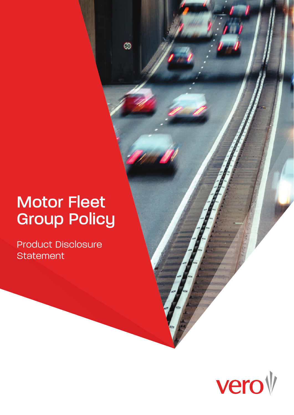# Motor Fleet Group Policy

 $\bullet$ 

Product Disclosure **Statement** 

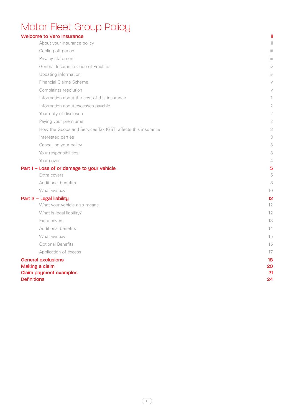## Motor Fleet Group Policy

| <b>Welcome to Vero Insurance</b>                            |                        |
|-------------------------------------------------------------|------------------------|
| About your insurance policy                                 |                        |
| Cooling off period                                          | Ш                      |
| Privacy statement                                           | iï                     |
| General Insurance Code of Practice                          | İ٧                     |
| Updating information                                        | $\mathsf{I}\mathsf{V}$ |
| <b>Financial Claims Scheme</b>                              |                        |
| Complaints resolution                                       |                        |
| Information about the cost of this insurance                |                        |
| Information about excesses payable                          | 2                      |
| Your duty of disclosure                                     | 2                      |
| Paying your premiums                                        | 2                      |
| How the Goods and Services Tax (GST) affects this insurance |                        |
| Interested parties                                          |                        |
| Cancelling your policy                                      | 3                      |
| Your responsibilities                                       |                        |
| Your cover                                                  |                        |
| Part 1 - Loss of or damage to your vehicle                  | 5                      |
| Extra covers                                                | 5                      |
| Additional benefits                                         | 8                      |
| What we pay                                                 | 1C                     |
| Part 2 - Legal liability                                    | 12                     |
| What your vehicle also means                                | 12                     |
| What is legal liability?                                    | 12                     |
| Extra covers                                                | 13                     |
| Additional benefits                                         | 14                     |
| What we pay                                                 | 15                     |
| <b>Optional Benefits</b>                                    | 15                     |
| Application of excess                                       | 17                     |
| <b>General exclusions</b>                                   | 18                     |
| Making a claim                                              | 20                     |
| <b>Claim payment examples</b><br><b>Definitions</b>         | 21<br>24               |
|                                                             |                        |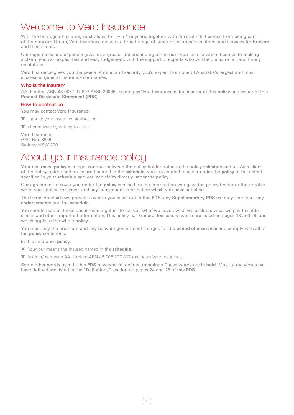### Welcome to Vero Insurance

With the heritage of insuring Australians for over 175 years, together with the scale that comes from being part of the Suncorp Group, Vero Insurance delivers a broad range of superior insurance solutions and services for Brokers and their clients.

Our experience and expertise gives us a greater understanding of the risks you face so when it comes to making a claim, you can expect fast and easy lodgement, with the support of experts who will help ensure fair and timely resolutions.

Vero Insurance gives you the peace of mind and security you'd expect from one of Australia's largest and most successful general insurance companies.

#### Who is the insurer?

AAI Limited ABN 48 005 297 807 AFSL 230859 trading as Vero Insurance is the insurer of this **policy** and issuer of this **Product Disclosure Statement (PDS)**.

#### How to contact us

You may contact Vero Insurance:

▼ through your insurance adviser; or

▼ alternatively by writing to us at:

Vero Insurance GPO Box 3999 Sydney NSW 2001

### About your insurance policy

Your insurance **policy** is a legal contract between the policy holder noted in the policy **schedule** and us. As a client of the policy holder and an insured named in the **schedule**, you are entitled to cover under the **policy** to the extent specified in your **schedule** and you can claim directly under the **policy**.

Our agreement to cover you under the **policy** is based on the information you gave the policy holder or their broker when you applied for cover, and any subsequent information which you have supplied.

The terms on which we provide cover to you is set out in this **PDS**, any **Supplementary PDS** we may send you, any **endorsements** and the **schedule**.

You should read all these documents together to tell you what we cover, what we exclude, what we pay to settle claims and other important information. This policy has General Exclusions which are listed on pages 18 and 19, and which apply to the whole **policy**.

You must pay the premium and any relevant government charges for the **period of insurance** and comply with all of the **policy** conditions.

In this insurance **policy**:

- ▼ You/your means the Insured named in the **schedule**.
- ▼ We/our/us means AAI Limited ABN 48 005 297 807 trading as Vero Insurance.

Some other words used in this **PDS** have special defined meanings. These words are in **bold**. Most of the words we have defined are listed in the "Definitions" section on pages 24 and 25 of this **PDS**.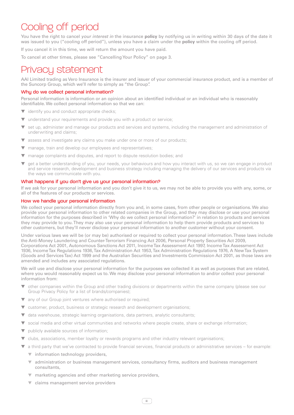## Cooling off period

You have the right to cancel *your interest in* the insurance **policy** by notifying us in writing within 30 days of the date it was issued to you ("cooling off period"), unless you have a claim under the **policy** within the cooling off period.

If you cancel it in this time, we will return the amount you have paid.

To cancel at other times, please see "Cancelling Your Policy" on page 3.

### Privacy statement

AAI Limited trading as Vero Insurance is the insurer and issuer of your commercial insurance product, and is a member of the Suncorp Group, which we'll refer to simply as "the Group".

#### Why do we collect personal information?

Personal information is information or an opinion about an identified individual or an individual who is reasonably identifiable. We collect personal information so that we can:

- ▼ identify you and conduct appropriate checks;
- ▼ understand your requirements and provide you with a product or service;
- ▼ set up, administer and manage our products and services and systems, including the management and administration of underwriting and claims;
- ▼ assess and investigate any claims you make under one or more of our products;
- ▼ manage, train and develop our employees and representatives;
- ▼ manage complaints and disputes, and report to dispute resolution bodies; and
- ▼ get a better understanding of you, your needs, your behaviours and how you interact with us, so we can engage in product and service research, development and business strategy including managing the delivery of our services and products via the ways we communicate with you.

#### What happens if you don't give us your personal information?

If we ask for your personal information and you don't give it to us, we may not be able to provide you with any, some, or all of the features of our products or services.

#### How we handle your personal information

We collect your personal information directly from you and, in some cases, from other people or organisations. We also provide your personal information to other related companies in the Group, and they may disclose or use your personal information for the purposes described in 'Why do we collect personal information?' in relation to products and services they may provide to you. They may also use your personal information to help them provide products and services to other customers, but they'll never disclose your personal information to another customer without your consent.

Under various laws we will be (or may be) authorised or required to collect your personal information. These laws include the Anti-Money Laundering and Counter-Terrorism Financing Act 2006, Personal Property Securities Act 2009, Corporations Act 2001, Autonomous Sanctions Act 2011, Income Tax Assessment Act 1997, Income Tax Assessment Act 1936, Income Tax Regulations 1936, Tax Administration Act 1953, Tax Administration Regulations 1976, A New Tax System (Goods and Services Tax) Act 1999 and the Australian Securities and Investments Commission Act 2001, as those laws are amended and includes any associated regulations.

We will use and disclose your personal information for the purposes we collected it as well as purposes that are related, where you would reasonably expect us to. We may disclose your personal information to and/or collect your personal information from:

- other companies within the Group and other trading divisions or departments within the same company (please see our Group Privacy Policy for a list of brands/companies);
- ▼ any of our Group joint ventures where authorised or required;
- ▼ customer, product, business or strategic research and development organisations;
- ▼ data warehouse, strategic learning organisations, data partners, analytic consultants;
- ▼ social media and other virtual communities and networks where people create, share or exchange information;
- ▼ publicly available sources of information;
- ▼ clubs, associations, member loyalty or rewards programs and other industry relevant organisations;
- ▼ a third party that we've contracted to provide financial services, financial products or administrative services for example:
	- $\blacktriangledown$  information technology providers.
	- ▼ administration or business management services, consultancy firms, auditors and business management consultants,
	- ▼ marketing agencies and other marketing service providers,
	- ▼ claims management service providers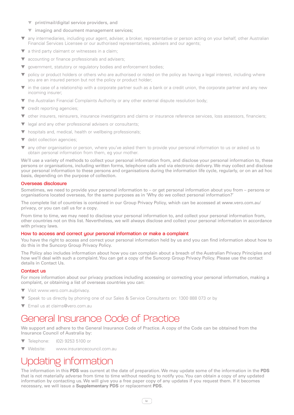- ▼ print/mail/digital service providers, and
- ▼ imaging and document management services;
- ▼ any intermediaries, including your agent, adviser, a broker, representative or person acting on your behalf, other Australian Financial Services Licensee or our authorised representatives, advisers and our agents;
- a third party claimant or witnesses in a claim;
- ▼ accounting or finance professionals and advisers;
- ▼ government, statutory or regulatory bodies and enforcement bodies;
- policy or product holders or others who are authorised or noted on the policy as having a legal interest, including where you are an insured person but not the policy or product holder;
- in the case of a relationship with a corporate partner such as a bank or a credit union, the corporate partner and any new incoming insurer;
- ▼ the Australian Financial Complaints Authority or any other external dispute resolution body;
- ▼ credit reporting agencies;
- ▼ other insurers, reinsurers, insurance investigators and claims or insurance reference services, loss assessors, financiers;
- ▼ legal and any other professional advisers or consultants;
- ▼ hospitals and, medical, health or wellbeing professionals;
- debt collection agencies;
- ▼ any other organisation or person, where you've asked them to provide your personal information to us or asked us to obtain personal information from them, eg your mother.

We'll use a variety of methods to collect your personal information from, and disclose your personal information to, these persons or organisations, including written forms, telephone calls and via electronic delivery. We may collect and disclose your personal information to these persons and organisations during the information life cycle, regularly, or on an ad hoc basis, depending on the purpose of collection.

#### Overseas disclosure

Sometimes, we need to provide your personal information to – or get personal information about you from – persons or organisations located overseas, for the same purposes as in 'Why do we collect personal information?'

The complete list of countries is contained in our Group Privacy Policy, which can be accessed at www.vero.com.au/ privacy, or you can call us for a copy.

From time to time, we may need to disclose your personal information to, and collect your personal information from, other countries not on this list. Nevertheless, we will always disclose and collect your personal information in accordance with privacy laws.

#### How to access and correct your personal information or make a complaint

You have the right to access and correct your personal information held by us and you can find information about how to do this in the Suncorp Group Privacy Policy.

The Policy also includes information about how you can complain about a breach of the Australian Privacy Principles and how we'll deal with such a complaint. You can get a copy of the Suncorp Group Privacy Policy. Please use the contact details in Contact Us.

#### Contact us

For more information about our privacy practices including accessing or correcting your personal information, making a complaint, or obtaining a list of overseas countries you can:

- ▼ Visit www.vero.com.au/privacy.
- ▼ Speak to us directly by phoning one of our Sales & Service Consultants on: 1300 888 073 or by
- **Email us at claims@vero.com.au**

### General Insurance Code of Practice

We support and adhere to the General Insurance Code of Practice. A copy of the Code can be obtained from the Insurance Council of Australia by:

- ▼ Telephone: (02) 9253 5100 or
- Website: www.insurancecouncil.com.au

## Updating information

The information in this **PDS** was current at the date of preparation. We may update some of the information in the **PDS** that is not materially adverse from time to time without needing to notify you. You can obtain a copy of any updated information by contacting us. We will give you a free paper copy of any updates if you request them. If it becomes necessary, we will issue a **Supplementary PDS** or replacement **PDS**.

iv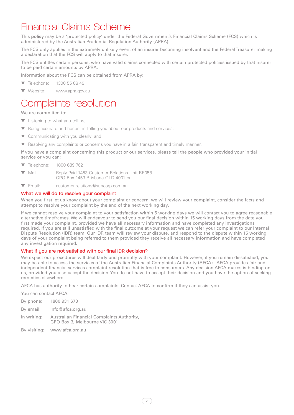### Financial Claims Scheme

This **policy** may be a 'protected policy' under the Federal Government's Financial Claims Scheme (FCS) which is administered by the Australian Prudential Regulation Authority (APRA).

The FCS only applies in the extremely unlikely event of an insurer becoming insolvent and the Federal Treasurer making a declaration that the FCS will apply to that insurer.

The FCS entitles certain persons, who have valid claims connected with certain protected policies issued by that insurer to be paid certain amounts by APRA.

Information about the FCS can be obtained from APRA by:

- ▼ Telephone: 1300 55 88 49
- ▼ Website: www.apra.gov.au

### Complaints resolution

We are committed to:

- ▼ Listening to what you tell us;
- Being accurate and honest in telling you about our products and services:
- ▼ Communicating with you clearly; and
- ▼ Resolving any complaints or concerns you have in a fair, transparent and timely manner.

If you have a complaint concerning this product or our services, please tell the people who provided your initial service or you can:

- ▼ Telephone: 1800 689 762
- ▼ Mail: Reply Paid 1453 Customer Relations Unit RE058 GPO Box 1453 Brisbane QLD 4001 or
- ▼ Email: customer.relations@suncorp.com.au

#### What we will do to resolve your complaint

When you first let us know about your complaint or concern, we will review your complaint, consider the facts and attempt to resolve your complaint by the end of the next working day.

If we cannot resolve your complaint to your satisfaction within 5 working days we will contact you to agree reasonable alternative timeframes. We will endeavour to send you our final decision within 15 working days from the date you first made your complaint, provided we have all necessary information and have completed any investigations required. If you are still unsatisfied with the final outcome at your request we can refer your complaint to our Internal Dispute Resolution (IDR) team. Our IDR team will review your dispute, and respond to the dispute within 15 working days of your complaint being referred to them provided they receive all necessary information and have completed any investigation required.

#### What if you are not satisfied with our final IDR decision?

We expect our procedures will deal fairly and promptly with your complaint. However, if you remain dissatisfied, you may be able to access the services of the Australian Financial Complaints Authority (AFCA). AFCA provides fair and independent financial services complaint resolution that is free to consumers. Any decision AFCA makes is binding on us, provided you also accept the decision. You do not have to accept their decision and you have the option of seeking remedies elsewhere.

AFCA has authority to hear certain complaints. Contact AFCA to confirm if they can assist you.

You can contact AFCA:

- By phone: 1800 931 678
- By email: info@afca.org.au
- In writing: Australian Financial Complaints Authority, GPO Box 3, Melbourne VIC 3001
- By visiting: www.afca.org.au

v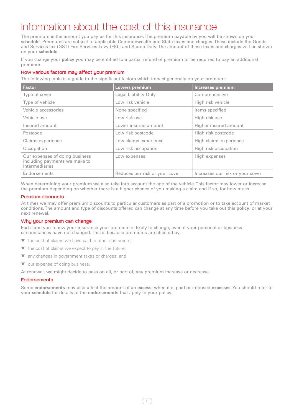## Information about the cost of this insurance

The premium is the amount you pay us for this insurance. The premium payable by you will be shown on your **schedule**. Premiums are subject to applicable Commonwealth and State taxes and charges. These include the Goods and Services Tax (GST) Fire Services Levy (FSL) and Stamp Duty. The amount of these taxes and charges will be shown on your **schedule**.

If you change your **policy** you may be entitled to a partial refund of premium or be required to pay an additional premium.

#### How various factors may affect your premium

The following table is a guide to the significant factors which impact generally on your premium:

| <b>Factor</b>                                                                     | Lowers premium                 | <b>Increases premium</b>         |
|-----------------------------------------------------------------------------------|--------------------------------|----------------------------------|
| Type of cover                                                                     | Legal Liability Only           | Comprehensive                    |
| Type of vehicle                                                                   | Low risk vehicle               | High risk vehicle                |
| Vehicle accessories                                                               | None specified                 | Items specified                  |
| Vehicle use                                                                       | Low risk use                   | High risk use                    |
| Insured amount                                                                    | Lower insured amount           | Higher insured amount            |
| Postcode                                                                          | Low risk postcode              | High risk postcode               |
| Claims experience                                                                 | Low claims experience          | High claims experience           |
| Occupation                                                                        | Low risk occupation            | High risk occupation             |
| Our expenses of doing business<br>including payments we make to<br>intermediaries | Low expenses                   | High expenses                    |
| Endorsements                                                                      | Reduces our risk or your cover | Increases our risk or your cover |

When determining your premium we also take into account the age of the vehicle. This factor may lower or increase the premium depending on whether there is a higher chance of you making a claim and if so, for how much.

#### Premium discounts

At times we may offer premium discounts to particular customers as part of a promotion or to take account of market conditions. The amount and type of discounts offered can change at any time before you take out this **policy**, or at your next renewal.

#### Why your premium can change

Each time you renew your insurance your premium is likely to change, even if your personal or business circumstances have not changed. This is because premiums are affected by:

- ▼ the cost of claims we have paid to other customers;
- ▼ the cost of claims we expect to pay in the future;
- ▼ any changes in government taxes or charges; and
- ▼ our expense of doing business.

At renewal, we might decide to pass on all, or part of, any premium increase or decrease.

#### **Endorsements**

Some **endorsements** may also affect the amount of an **excess**, when it is paid or imposed **excesses**. You should refer to your **schedule** for details of the **endorsements** that apply to your policy.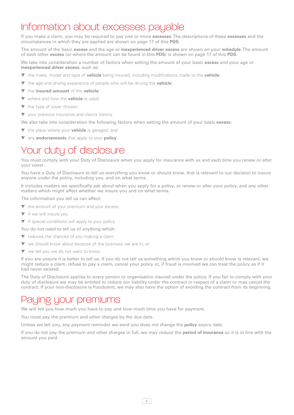### Information about excesses payable

If you make a claim, you may be required to pay one or more **excesses**. The descriptions of these **excesses** and the circumstances in which they are applied are shown on page 17 of this **PDS**.

The amount of the basic **excess** and the age or **inexperienced driver excess** are shown on your **schedule**. The amount of each other **excess** (or where the amount can be found in this **PDS**) is shown on page 17 of this **PDS**.

We take into consideration a number of factors when setting the amount of your basic **excess** and your age or **inexperienced driver excess**, such as:

- ▼ the make, model and type of **vehicle** being insured, including modifications made to the **vehicle**;
- ▼ the age and driving experience of people who will be driving the **vehicle**;
- ▼ the **insured amount** of the **vehicle**;
- ▼ where and how the **vehicle** is used;
- ▼ the type of cover chosen;
- ▼ your previous insurance and claims history.

We also take into consideration the following factors when setting the amount of your basic **excess**:

- ▼ the place where your **vehicle** is garaged; and
- ▼ any **endorsements** that apply to your **policy**.

### Your duty of disclosure

You must comply with your Duty of Disclosure when you apply for insurance with us and each time you renew or alter your cover.

You have a Duty of Disclosure to tell us everything you know or should know, that is relevant to our decision to insure anyone under the policy, including you, and on what terms.

It includes matters we specifically ask about when you apply for a policy, or renew or alter your policy, and any other matters which might affect whether we insure you and on what terms.

The information you tell us can affect:

- ▼ the amount of your premium and your excess
- ▼ if we will insure you
- ▼ if special conditions will apply to your policy.

You do not need to tell us of anything which:

- ▼ reduces the chances of you making a claim
- ▼ we should know about because of the business we are in; or
- ▼ we tell you we do not want to know.

If you are unsure it is better to tell us. If you do not tell us something which you know or should know is relevant, we might reduce a claim, refuse to pay a claim, cancel your policy or, if fraud is involved we can treat the policy as if it had never existed.

The Duty of Disclosure applies to every person or organisation insured under the policy. If you fail to comply with your duty of disclosure we may be entitled to reduce our liability under the contract in respect of a claim or may cancel the contract. If your non-disclosure is fraudulent, we may also have the option of avoiding the contract from its beginning.

### Paying your premiums

We will tell you how much you have to pay and how much time you have for payment.

You must pay the premium and other charges by the due date.

Unless we tell you, any payment reminder we send you does not change the **policy** expiry date.

If you do not pay the premium and other charges in full, we may reduce the **period of insurance** so it is in line with the amount you paid.

 $\overline{2}$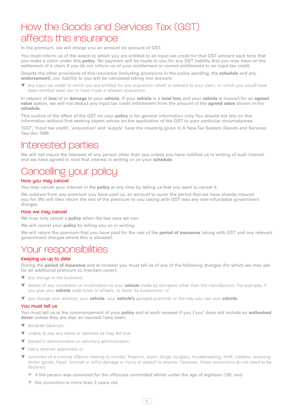### How the Goods and Services Tax (GST) affects this insurance

In the premium, we will charge you an amount on account of GST.

You must inform us of the extent to which you are entitled to an input tax credit for that GST amount each time that you make a claim under this **policy**. No payment will be made to you for any GST liability that you may have on the settlement of a claim if you do not inform us of your entitlement or correct entitlement to an input tax credit.

Despite the other provisions of this insurance (including provisions in the policy wording, the **schedule** and any **endorsement**), our liability to you will be calculated taking into account:

▼ any input tax credit to which you are entitled for any acquisition which is relevant to your claim, or which you would have been entitled were you to have made a relevant acquisition.

In respect of **loss** of or **damage** to your **vehicle**, if your **vehicle** is a **total loss** and your **vehicle** is insured for an **agreed value** option, we will not deduct any input tax credit entitlement from the amount of the **agreed value** shown in the **schedule**.

This outline of the effect of the GST on your **policy** is for general information only. You should not rely on this information without first seeking expert advice on the application of the GST to your particular circumstances.

'GST', 'Input tax credit', 'acquisition' and 'supply' have the meaning given in A New Tax System (Goods and Services Tax) Act 1999.

### Interested parties

We will not insure the interests of any person other than you unless you have notified us in writing of such interest and we have agreed to note that interest in writing or on your **schedule**.

## Cancelling your policy

#### How you may cancel

You may cancel your *interest in the* **policy** at any time by telling us that you want to cancel it.

We subtract from any premium you have paid us, an amount to cover the period that we have already insured you for. We will then return the rest of the premium to you (along with GST less any non-refundable government charges.

#### How we may cancel

We may only cancel a **policy** when the law says we can.

We will cancel your **policy** by telling you so in writing.

We will return the premium that you have paid for the rest of the **period of insurance** (along with GST and any relevant government charges where this is allowed).

### Your responsibilities

#### Keeping us up to date

During the **period of insurance** and at renewal you must tell us of any of the following changes (for which we may ask for an additional premium to maintain cover):

- any change in the business;
- ▼ details of any conversion or modification to your **vehicle** made by someone other than the manufacturer. For example, if you give your **vehicle** wide tyres or wheels, or lower its suspension; or
- ▼ you change your address, your **vehicle**, your **vehicle's** garaged postcode or the way you use your **vehicle.**

#### You must tell us

You must tell us at the commencement of your **policy** and at each renewal if you ('you' does not include an **authorised driver** unless they are also an insured) have been:

- ▼ declared bankrupt;
- ▼ unable to pay any debts or liabilities as they fell due;
- ▼ placed in administration or voluntary administration;
- ▼ had a receiver appointed; or
- convicted of a criminal offence relating to murder, firearms, arson, drugs, burglary, housebreaking, theft, robbery, receiving stolen goods, fraud, criminal or wilful damage or injury or assault to anyone. However, these convictions do not need to be declared:
	- ▼ if the person was convicted for the offence/s committed whilst under the age of eighteen (18); and
	- ▼ the conviction is more than 3 years old.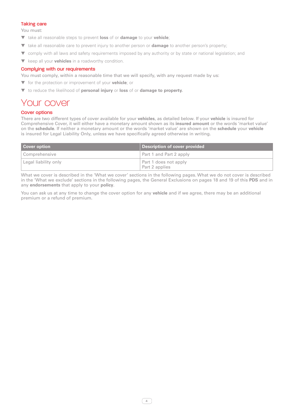#### Taking care

You must:

- ▼ take all reasonable steps to prevent **loss** of or **damage** to your **vehicle**;
- ▼ take all reasonable care to prevent injury to another person or **damage** to another person's property;
- ▼ comply with all laws and safety requirements imposed by any authority or by state or national legislation; and
- ▼ keep all your **vehicles** in a roadworthy condition.

#### Complying with our requirements

You must comply, within a reasonable time that we will specify, with any request made by us:

- ▼ for the protection or improvement of your **vehicle**; or
- ▼ to reduce the likelihood of **personal injury** or **loss** of or **damage to property.**

### Your cover

#### Cover options

There are two different types of cover available for your **vehicles**, as detailed below. If your **vehicle** is insured for Comprehensive Cover, it will either have a monetary amount shown as its **insured amount** or the words 'market value' on the **schedule**. If neither a monetary amount or the words 'market value' are shown on the **schedule** your **vehicle** is insured for Legal Liability Only, unless we have specifically agreed otherwise in writing.

| <b>Cover option</b>  | Description of cover provided           |
|----------------------|-----------------------------------------|
| Comprehensive        | Part 1 and Part 2 apply                 |
| Legal liability only | Part 1 does not apply<br>Part 2 applies |

What we cover is described in the 'What we cover' sections in the following pages. What we do not cover is described in the 'What we exclude' sections in the following pages, the General Exclusions on pages 18 and 19 of this **PDS** and in any **endorsements** that apply to your **policy**.

4

You can ask us at any time to change the cover option for any **vehicle** and if we agree, there may be an additional premium or a refund of premium.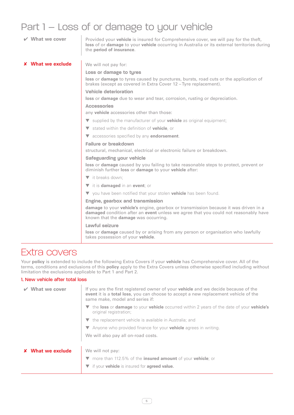## Part 1 – Loss of or damage to your vehicle

| $\vee$ What we cover     | Provided your vehicle is insured for Comprehensive cover, we will pay for the theft,<br>loss of or damage to your vehicle occurring in Australia or its external territories during<br>the period of insurance.           |
|--------------------------|---------------------------------------------------------------------------------------------------------------------------------------------------------------------------------------------------------------------------|
| <b>X</b> What we exclude | We will not pay for:                                                                                                                                                                                                      |
|                          | Loss or damage to tyres                                                                                                                                                                                                   |
|                          | loss or damage to tyres caused by punctures, bursts, road cuts or the application of<br>brakes (except as covered in Extra Cover 12 – Tyre replacement).                                                                  |
|                          | Vehicle deterioration                                                                                                                                                                                                     |
|                          | loss or damage due to wear and tear, corrosion, rusting or depreciation.                                                                                                                                                  |
|                          | <b>Accessories</b>                                                                                                                                                                                                        |
|                          | any vehicle accessories other than those:                                                                                                                                                                                 |
|                          | $\blacktriangledown$ supplied by the manufacturer of your <b>vehicle</b> as original equipment;                                                                                                                           |
|                          | ▼ stated within the definition of vehicle, or                                                                                                                                                                             |
|                          | v accessories specified by any endorsement.                                                                                                                                                                               |
|                          | Failure or breakdown                                                                                                                                                                                                      |
|                          | structural, mechanical, electrical or electronic failure or breakdown.                                                                                                                                                    |
|                          | Safeguarding your vehicle                                                                                                                                                                                                 |
|                          | loss or damage caused by you failing to take reasonable steps to protect, prevent or<br>diminish further loss or damage to your vehicle after:                                                                            |
|                          | $\blacktriangledown$ it breaks down:                                                                                                                                                                                      |
|                          | $\blacktriangledown$ it is <b>damaged</b> in an <b>event</b> ; or                                                                                                                                                         |
|                          | ▼ you have been notified that your stolen <b>vehicle</b> has been found.                                                                                                                                                  |
|                          | Engine, gearbox and transmission                                                                                                                                                                                          |
|                          | damage to your vehicle's engine, gearbox or transmission because it was driven in a<br>damaged condition after an event unless we agree that you could not reasonably have<br>known that the <b>damage</b> was occurring. |
|                          | Lawful seizure                                                                                                                                                                                                            |
|                          | loss or damage caused by or arising from any person or organisation who lawfully<br>takes possession of your vehicle.                                                                                                     |

### Extra covers

Your **policy** is extended to include the following Extra Covers if your **vehicle** has Comprehensive cover. All of the terms, conditions and exclusions of this **policy** apply to the Extra Covers unless otherwise specified including without limitation the exclusions applicable to Part 1 and Part 2.

#### 1. New vehicle after total loss

| What we cover   | If you are the first registered owner of your <b>vehicle</b> and we decide because of the<br>event it is a total loss, you can choose to accept a new replacement vehicle of the<br>same make, model and series if: |
|-----------------|---------------------------------------------------------------------------------------------------------------------------------------------------------------------------------------------------------------------|
|                 | $\blacktriangledown$ the loss or damage to your vehicle occurred within 2 years of the date of your vehicle's<br>original registration;                                                                             |
|                 | $\blacktriangledown$ the replacement vehicle is available in Australia; and                                                                                                                                         |
|                 | $\blacktriangledown$ Anyone who provided finance for your <b>vehicle</b> agrees in writing.                                                                                                                         |
|                 | We will also pay all on-road costs.                                                                                                                                                                                 |
|                 |                                                                                                                                                                                                                     |
| What we exclude | We will not pay:                                                                                                                                                                                                    |
|                 | ▼ more than 112.5% of the insured amount of your vehicle; or                                                                                                                                                        |
|                 | ▼ if your vehicle is insured for agreed value.                                                                                                                                                                      |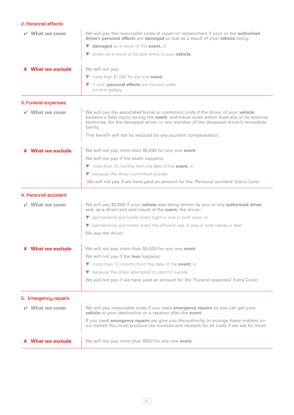#### 2. Personal effects

| $\vee$ What we cover     | We will pay the reasonable costs of repair or replacement if your or the authorised<br>driver's personal effects are damaged or lost as a result of your vehicle being:                                                                                                               |
|--------------------------|---------------------------------------------------------------------------------------------------------------------------------------------------------------------------------------------------------------------------------------------------------------------------------------|
|                          | ▼ damaged as a result of the event, or                                                                                                                                                                                                                                                |
|                          | v stolen as a result of forcible entry to your vehicle.                                                                                                                                                                                                                               |
| <b>X</b> What we exclude | We will not pay:                                                                                                                                                                                                                                                                      |
|                          | ▼ more than \$1,000 for any one event;                                                                                                                                                                                                                                                |
|                          | if such <b>personal effects</b> are insured under<br>▼<br>another policy.                                                                                                                                                                                                             |
| 3. Funeral expenses      |                                                                                                                                                                                                                                                                                       |
| $\vee$ What we cover     | We will pay the associated burial or cremation costs if the driver of your vehicle<br>sustains a fatal injury during the event, and travel costs within Australia or its external<br>territories, for the deceased driver or any member of the deceased driver's immediate<br>family. |
|                          | This benefit will not be reduced by any accident compensation.                                                                                                                                                                                                                        |
| <b>X</b> What we exclude | We will not pay more than \$5,000 for any one event.                                                                                                                                                                                                                                  |
|                          | We will not pay if the death happens:                                                                                                                                                                                                                                                 |
|                          | $\blacktriangledown$ more than 12 months from the date of the <b>event</b> : or                                                                                                                                                                                                       |
|                          | because the driver committed suicide.<br>$\blacktriangledown$                                                                                                                                                                                                                         |
|                          | We will not pay if we have paid an amount for the 'Personal accident' Extra Cover.                                                                                                                                                                                                    |
| 4. Personal accident     |                                                                                                                                                                                                                                                                                       |
| $\vee$ What we cover     | We will pay \$5,000 if your vehicle was being driven by you or any authorised driver<br>and, as a direct and sole result of the event, the driver:                                                                                                                                    |
|                          | ▼ permanently and totally loses sight in one or both eyes; or                                                                                                                                                                                                                         |
|                          | permanently and totally loses the efficient use of one or both hands or feet.<br>▼                                                                                                                                                                                                    |
|                          | We pay the driver.                                                                                                                                                                                                                                                                    |
| <b>What we exclude</b>   | We will not pay more than \$5,000 for any one event.                                                                                                                                                                                                                                  |
|                          | We will not pay if the loss happens:                                                                                                                                                                                                                                                  |
|                          | ▼ more than 12 months from the date of the event; or                                                                                                                                                                                                                                  |
|                          | because the driver attempted to commit suicide.<br>▼                                                                                                                                                                                                                                  |
|                          | We will not pay if we have paid an amount for the 'Funeral expenses' Extra Cover.                                                                                                                                                                                                     |
|                          |                                                                                                                                                                                                                                                                                       |
| 5. Emergency repairs     |                                                                                                                                                                                                                                                                                       |
| What we cover            | We will pay reasonable costs if you need emergency repairs so you can get your<br>vehicle to your destination or a repairer after the event.                                                                                                                                          |
|                          | If you need emergency repairs we give you the authority to arrange these matters on<br>our behalf. You must produce tax invoices and receipts for all costs if we ask for them.                                                                                                       |
| <b>X</b> What we exclude | We will not pay more than \$500 for any one event.                                                                                                                                                                                                                                    |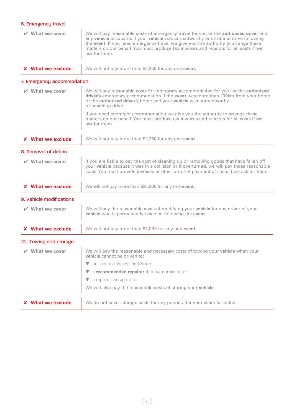## 6. Emergency travel

| $\vee$ What we cover       | We will pay reasonable costs of emergency travel for you or the <b>authorised driver</b> and<br>any vehicle occupants if your vehicle was unroadworthy or unsafe to drive following<br>the event. If you need emergency travel we give you the authority to arrange these<br>matters on our behalf. You must produce tax invoices and receipts for all costs if we<br>ask for them. |
|----------------------------|-------------------------------------------------------------------------------------------------------------------------------------------------------------------------------------------------------------------------------------------------------------------------------------------------------------------------------------------------------------------------------------|
| <b>X</b> What we exclude   | We will not pay more than \$2,250 for any one event.                                                                                                                                                                                                                                                                                                                                |
| 7. Emergency accommodation |                                                                                                                                                                                                                                                                                                                                                                                     |
| $\vee$ What we cover       | We will pay reasonable costs for temporary accommodation for your or the authorised<br>driver's emergency accommodation if the event was more than 100km from your home<br>or the authorised driver's home and your vehicle was unroadworthy<br>or unsafe to drive.                                                                                                                 |
|                            | If you need overnight accommodation we give you the authority to arrange these<br>matters on our behalf. You must produce tax invoices and receipts for all costs if we<br>ask for them.                                                                                                                                                                                            |
| <b>X</b> What we exclude   | We will not pay more than \$2,250 for any one event.                                                                                                                                                                                                                                                                                                                                |
| 8. Removal of debris       |                                                                                                                                                                                                                                                                                                                                                                                     |
| $\vee$ What we cover       | If you are liable to pay the cost of cleaning up or removing goods that have fallen off<br>your vehicle because it was in a collision or it overturned, we will pay those reasonable<br>costs. You must provide invoices or other proof of payment of costs if we ask for them.                                                                                                     |
| <b>X</b> What we exclude   | We will not pay more than \$25,000 for any one event.                                                                                                                                                                                                                                                                                                                               |
| 9. Vehicle modifications   |                                                                                                                                                                                                                                                                                                                                                                                     |
| $\vee$ What we cover       | We will pay the reasonable costs of modifying your vehicle for any driver of your<br>vehicle who is permanently disabled following the event.                                                                                                                                                                                                                                       |
| <b>X</b> What we exclude   | We will not pay more than \$3,000 for any one event.                                                                                                                                                                                                                                                                                                                                |
| 10. Towing and storage     |                                                                                                                                                                                                                                                                                                                                                                                     |
| What we cover              | We will pay the reasonable and necessary costs of towing your vehicle when your<br>vehicle cannot be driven to:                                                                                                                                                                                                                                                                     |
|                            | our nearest Assessing Centre;                                                                                                                                                                                                                                                                                                                                                       |
|                            | a recommended repairer that we nominate; or<br>V                                                                                                                                                                                                                                                                                                                                    |
|                            | a repairer we agree to.<br>v.                                                                                                                                                                                                                                                                                                                                                       |
|                            | We will also pay the reasonable costs of storing your vehicle.                                                                                                                                                                                                                                                                                                                      |
| <b>What we exclude</b>     | We do not cover storage costs for any period after your claim is settled.                                                                                                                                                                                                                                                                                                           |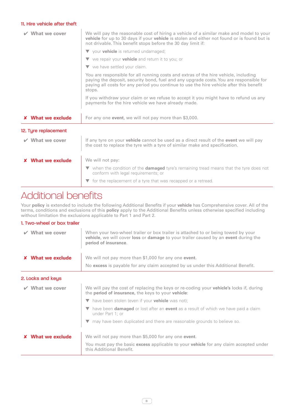#### 11. Hire vehicle after theft

| $\vee$ What we cover     | We will pay the reasonable cost of hiring a vehicle of a similar make and model to your<br>vehicle for up to 30 days if your vehicle is stolen and either not found or is found but is<br>not drivable. This benefit stops before the 30 day limit if:                             |
|--------------------------|------------------------------------------------------------------------------------------------------------------------------------------------------------------------------------------------------------------------------------------------------------------------------------|
|                          | ▼ your <b>vehicle</b> is returned undamaged;                                                                                                                                                                                                                                       |
|                          | $\blacktriangledown$ we repair your <b>vehicle</b> and return it to you; or                                                                                                                                                                                                        |
|                          | $\blacktriangledown$ we have settled your claim.                                                                                                                                                                                                                                   |
|                          | You are responsible for all running costs and extras of the hire vehicle, including<br>paying the deposit, security bond, fuel and any upgrade costs. You are responsible for<br>paying all costs for any period you continue to use the hire vehicle after this benefit<br>stops. |
|                          | If you withdraw your claim or we refuse to accept it you might have to refund us any<br>payments for the hire vehicle we have already made.                                                                                                                                        |
|                          |                                                                                                                                                                                                                                                                                    |
| <b>X</b> What we exclude | For any one event, we will not pay more than \$3,000.                                                                                                                                                                                                                              |
| 12. Tyre replacement     |                                                                                                                                                                                                                                                                                    |
| $\vee$ What we cover     | If any tyre on your <b>vehicle</b> cannot be used as a direct result of the <b>event</b> we will pay<br>the cost to replace the tyre with a tyre of similar make and specification.                                                                                                |
| <b>X</b> What we exclude | We will not pay:                                                                                                                                                                                                                                                                   |
|                          | $\blacktriangledown$ when the condition of the <b>damaged</b> tyre's remaining tread means that the tyre does not<br>conform with legal requirements; or                                                                                                                           |

## Additional benefits

Your **policy** is extended to include the following Additional Benefits if your **vehicle** has Comprehensive cover. All of the terms, conditions and exclusions of this **policy** apply to the Additional Benefits unless otherwise specified including without limitation the exclusions applicable to Part 1 and Part 2.

#### 1. Two-wheel or box trailer

| What we cover            | When your two-wheel trailer or box trailer is attached to or being towed by your<br>vehicle, we will cover loss or damage to your trailer caused by an event during the<br>period of insurance. |
|--------------------------|-------------------------------------------------------------------------------------------------------------------------------------------------------------------------------------------------|
| <b>X</b> What we exclude | We will not pay more than \$1,000 for any one event.                                                                                                                                            |
|                          | No excess is payable for any claim accepted by us under this Additional Benefit.                                                                                                                |
| 2. Locks and keys        |                                                                                                                                                                                                 |
| What we cover            | We will pay the cost of replacing the keys or re-coding your <b>vehicle's</b> locks if, during<br>the period of insurance, the keys to your vehicle:                                            |
|                          | $\blacktriangledown$ have been stolen (even if your <b>vehicle</b> was not);                                                                                                                    |
|                          | have been <b>damaged</b> or lost after an <b>event</b> as a result of which we have paid a claim<br>under Part 1: or                                                                            |
|                          | T may have been duplicated and there are reasonable grounds to believe so.                                                                                                                      |
| What we exclude          | We will not pay more than \$5,000 for any one event.                                                                                                                                            |
|                          | You must pay the basic excess applicable to your vehicle for any claim accepted under<br>this Additional Benefit.                                                                               |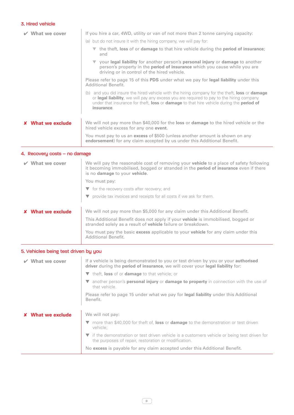#### 3. Hired vehicle

| What we cover            | If you hire a car, 4WD, utility or van of not more than 2 tonne carrying capacity:                                                                                                                                                                                                                                                         |
|--------------------------|--------------------------------------------------------------------------------------------------------------------------------------------------------------------------------------------------------------------------------------------------------------------------------------------------------------------------------------------|
|                          | (a) but do not insure it with the hiring company, we will pay for:                                                                                                                                                                                                                                                                         |
|                          | the theft, loss of or damage to that hire vehicle during the period of insurance;<br>and                                                                                                                                                                                                                                                   |
|                          | ▼ your legal liability for another person's personal injury or damage to another<br>person's property in the <b>period of insurance</b> which you cause while you are<br>driving or in control of the hired vehicle.                                                                                                                       |
|                          | Please refer to page 15 of this PDS under what we pay for legal liability under this<br><b>Additional Benefit.</b>                                                                                                                                                                                                                         |
|                          | and you did insure the hired vehicle with the hiring company for the theft, <b>loss</b> or <b>damage</b><br>(b)<br>or legal liability, we will pay any excess you are required to pay to the hiring company<br>under that insurance for theft, <b>loss</b> or <b>damage</b> to that hire vehicle during the <b>period of</b><br>insurance. |
| <b>X</b> What we exclude | We will not pay more than \$40,000 for the <b>loss</b> or <b>damage</b> to the hired vehicle or the<br>hired vehicle excess for any one event.                                                                                                                                                                                             |
|                          | You must pay to us an excess of \$500 (unless another amount is shown on any<br>endorsement) for any claim accepted by us under this Additional Benefit.                                                                                                                                                                                   |

#### 4. Recovery costs – no damage

| What we cover   | We will pay the reasonable cost of removing your <b>vehicle</b> to a place of safety following<br>it becoming immobilised, bogged or stranded in the <b>period of insurance</b> even if there<br>is no damage to your vehicle. |
|-----------------|--------------------------------------------------------------------------------------------------------------------------------------------------------------------------------------------------------------------------------|
|                 | You must pay:                                                                                                                                                                                                                  |
|                 | $\blacktriangledown$ for the recovery costs after recovery; and                                                                                                                                                                |
|                 | provide tax invoices and receipts for all costs if we ask for them.                                                                                                                                                            |
|                 |                                                                                                                                                                                                                                |
| What we exclude | We will not pay more than \$5,000 for any claim under this Additional Benefit.                                                                                                                                                 |
|                 | This Additional Benefit does not apply if your <b>vehicle</b> is immobilised, bogged or<br>stranded solely as a result of <b>vehicle</b> failure or breakdown.                                                                 |
|                 | You must pay the basic <b>excess</b> applicable to your <b>vehicle</b> for any claim under this<br>Additional Benefit.                                                                                                         |

#### 5. Vehicles being test driven by you

| What we cover   | If a vehicle is being demonstrated to you or test driven by you or your <b>authorised</b><br>driver during the period of insurance, we will cover your legal liability for: |
|-----------------|-----------------------------------------------------------------------------------------------------------------------------------------------------------------------------|
|                 | $\blacktriangledown$ theft, <b>loss</b> of or <b>damage</b> to that vehicle; or                                                                                             |
|                 | another person's <b>personal injury</b> or <b>damage to property</b> in connection with the use of<br>that vehicle.                                                         |
|                 | Please refer to page 15 under what we pay for legal liability under this Additional<br>Benefit.                                                                             |
| What we exclude | We will not pay:                                                                                                                                                            |
|                 | $\blacktriangledown$ more than \$40,000 for theft of, loss or damage to the demonstration or test driven<br>vehicle:                                                        |
|                 | if the demonstration or test driven vehicle is a customers vehicle or being test driven for<br>the purposes of repair, restoration or modification.                         |
|                 | No excess is payable for any claim accepted under this Additional Benefit.                                                                                                  |

 $\circledcirc$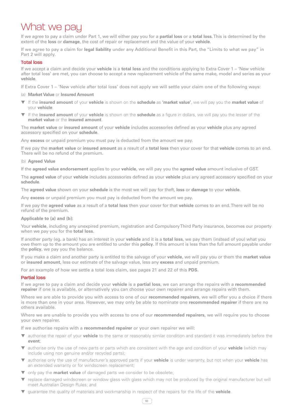## What we pay

If we agree to pay a claim under Part 1, we will either pay you for a **partial loss** or a **total loss**. This is determined by the extent of the **loss** or **damage**, the cost of repair or replacement and the value of your **vehicle**.

If we agree to pay a claim for **legal liability** under any Additional Benefit in this Part, the "Limits to what we pay" in Part 2 will apply.

#### Total loss

If we accept a claim and decide your **vehicle** is a **total loss** and the conditions applying to Extra Cover 1 – 'New vehicle after total loss' are met, you can choose to accept a new replacement vehicle of the same make, model and series as your **vehicle**.

If Extra Cover 1 – 'New vehicle after total loss' does not apply we will settle your claim one of the following ways:

#### (a) **Market Value** or **Insured Amount**

- If the **insured amount** of your **vehicle** is shown on the **schedule** as **'market value'**, we will pay you the **market value** of your **vehicle**.
- If the **insured amount** of your **vehicle** is shown on the **schedule** as a figure in dollars, we will pay you the lesser of the **market value** or the **insured amount**.

The **market value** or **insured amount** of your **vehicle** includes accessories defined as your **vehicle** plus any agreed accessory specified on your **schedule**.

Any **excess** or unpaid premium you must pay is deducted from the amount we pay.

If we pay the **market value** or **insured amount** as a result of a **total loss** then your cover for that **vehicle** comes to an end. There will be no refund of the premium.

#### (b) **Agreed Value**

If the **agreed value endorsement** applies to your **vehicle**, we will pay you the **agreed value** amount inclusive of GST.

The **agreed value** of your **vehicle** includes accessories defined as your **vehicle** plus any agreed accessory specified on your **schedule**.

The **agreed value** shown on your **schedule** is the most we will pay for theft, **loss** or **damage** to your **vehicle**.

Any **excess** or unpaid premium you must pay is deducted from the amount we pay.

If we pay the **agreed value** as a result of a **total loss** then your cover for that **vehicle** comes to an end. There will be no refund of the premium.

**Applicable to (a) and (b):**

Your **vehicle**, including any unexpired premium, registration and Compulsory Third Party insurance, becomes our property when we pay you for the **total loss**.

If another party (eg. a bank) has an interest in your **vehicle** and it is a **total loss**, we pay them (instead of you) what you owe them up to the amount you are entitled to under this **policy**. If this amount is less than the full amount payable under the **policy**, we pay you the balance.

If you make a claim and another party is entitled to the salvage of your **vehicle**, we will pay you or them the **market value** or **insured amount**, less our estimate of the salvage value, less any **excess** and unpaid premium.

For an example of how we settle a total loss claim, see pages 21 and 22 of this **PDS**.

#### Partial loss

If we agree to pay a claim and decide your **vehicle** is a **partial loss**, we can arrange the repairs with a **recommended repairer** if one is available, or alternatively you can choose your own repairer and arrange repairs with them.

Where we are able to provide you with access to one of our **recommended repairers**, we will offer you a choice if there is more than one in your area. However, we may only be able to nominate one **recommended repairer** if there are no others available.

Where we are unable to provide you with access to one of our **recommended repairers**, we will require you to choose your own repairer.

If we authorise repairs with a **recommended repairer** or your own repairer we will:

- ▼ authorise the repair of your **vehicle** to the same or reasonably similar condition and standard it was immediately before the **event**;
- ▼ authorise only the use of new parts or parts which are consistent with the age and condition of your **vehicle** (which may include using non genuine and/or recycled parts);
- ▼ authorise only the use of manufacturer's approved parts if your **vehicle** is under warranty, but not when your **vehicle** has an extended warranty or for windscreen replacement;
- ▼ only pay the **market value** of damaged parts we consider to be obsolete;
- ▼ replace damaged windscreen or window glass with glass which may not be produced by the original manufacturer but will meet Australian Design Rules; and
- guarantee the quality of materials and workmanship in respect of the repairs for the life of the **vehicle**.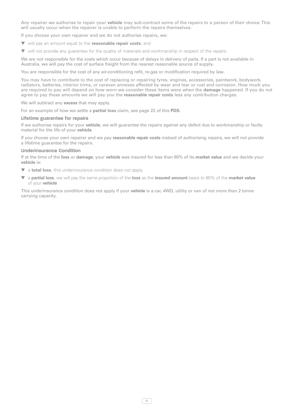Any repairer we authorise to repair your **vehicle** may sub-contract some of the repairs to a person of their choice. This will usually occur when the repairer is unable to perform the repairs themselves.

If you choose your own repairer and we do not authorise repairs, we:

- ▼ will pay an amount equal to the **reasonable repair costs**; and
- ▼ will not provide any guarantee for the quality of materials and workmanship in respect of the repairs.

We are not responsible for the costs which occur because of delays in delivery of parts. If a part is not available in Australia, we will pay the cost of surface freight from the nearest reasonable source of supply.

You are responsible for the cost of any air-conditioning refit, re-gas or modification required by law.

You may have to contribute to the cost of replacing or repairing tyres, engines, accessories, paintwork, bodywork, radiators, batteries, interior trims, or caravan annexes affected by wear and tear or rust and corrosion. How much you are required to pay will depend on how worn we consider these items were when the **damage** happened. If you do not agree to pay these amounts we will pay you the **reasonable repair costs** less any contribution charges.

We will subtract any **excess** that may apply.

For an example of how we settle a **partial loss** claim, see page 22 of this **PDS**.

#### **Lifetime guarantee for repairs**

If we authorise repairs for your **vehicle**, we will guarantee the repairs against any defect due to workmanship or faulty material for the life of your **vehicle**.

If you choose your own repairer and we pay **reasonable repair costs** instead of authorising repairs, we will not provide a lifetime guarantee for the repairs.

#### **Underinsurance Condition**

If at the time of the **loss** or **damage**, your **vehicle** was insured for less than 80% of its **market value** and we decide your **vehicle** is:

▼ a **total loss**, this underinsurance condition does not apply.

▼ a **partial loss**, we will pay the same proportion of the **loss** as the **insured amount** bears to 80% of the **market value** of your **vehicle**.

This underinsurance condition does not apply if your **vehicle** is a car, 4WD, utility or van of not more than 2 tonne carrying capacity.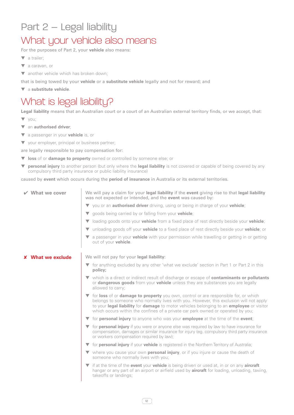### Part 2 – Legal liability

### What your vehicle also means

For the purposes of Part 2, your **vehicle** also means:

- ▼ a trailer;
- ▼ a caravan, or
- ▼ another vehicle which has broken down;

that is being towed by your **vehicle** or a **substitute vehicle** legally and not for reward; and

▼ a **substitute vehicle**.

### What is legal liability?

**Legal liability** means that an Australian court or a court of an Australian external territory finds, or we accept, that:

- ▼ you;
- ▼ an **authorised driver**;
- ▼ a passenger in your **vehicle** is, or
- ▼ your employer, principal or business partner;

are legally responsible to pay compensation for:

- ▼ **loss** of or **damage to property** owned or controlled by someone else; or
- ▼ **personal injury** to another person (but only where the **legal liability** is not covered or capable of being covered by any compulsory third party insurance or public liability insurance)

caused by **event** which occurs during the **period of insurance** in Australia or its external territories.

| $\vee$ What we cover     | We will pay a claim for your legal liability if the event giving rise to that legal liability<br>was not expected or intended, and the event was caused by:                                                                                                                                                                                                     |  |  |  |
|--------------------------|-----------------------------------------------------------------------------------------------------------------------------------------------------------------------------------------------------------------------------------------------------------------------------------------------------------------------------------------------------------------|--|--|--|
|                          | ▼ you or an <b>authorised driver</b> driving, using or being in charge of your <b>vehicle</b> ;                                                                                                                                                                                                                                                                 |  |  |  |
|                          | ▼ goods being carried by or falling from your vehicle;                                                                                                                                                                                                                                                                                                          |  |  |  |
|                          | loading goods onto your <b>vehicle</b> from a fixed place of rest directly beside your <b>vehicle</b> ;<br>$\blacktriangledown$                                                                                                                                                                                                                                 |  |  |  |
|                          | unloading goods off your <b>vehicle</b> to a fixed place of rest directly beside your <b>vehicle</b> ; or<br>$\blacktriangledown$                                                                                                                                                                                                                               |  |  |  |
|                          | a passenger in your <b>vehicle</b> with your permission while travelling or getting in or getting<br>▼<br>out of your <b>vehicle</b> .                                                                                                                                                                                                                          |  |  |  |
| <b>X</b> What we exclude | We will not pay for your legal liability:                                                                                                                                                                                                                                                                                                                       |  |  |  |
|                          | ▼ for anything excluded by any other 'what we exclude' section in Part 1 or Part 2 in this<br>policy;                                                                                                                                                                                                                                                           |  |  |  |
|                          | ▼ which is a direct or indirect result of discharge or escape of <b>contaminants or pollutants</b><br>or dangerous goods from your vehicle unless they are substances you are legally<br>allowed to carry;                                                                                                                                                      |  |  |  |
|                          | T for loss of or damage to property you own, control or are responsible for, or which<br>belongs to someone who normally lives with you. However, this exclusion will not apply<br>to your legal liability for damage to motor vehicles belonging to an employee or visitor<br>which occurs within the confines of a private car park owned or operated by you; |  |  |  |
|                          | $\blacktriangledown$ for <b>personal injury</b> to anyone who was your <b>employee</b> at the time of the <b>event</b> ;                                                                                                                                                                                                                                        |  |  |  |
|                          | ▼ for personal injury if you were or anyone else was required by law to have insurance for<br>compensation, damages or similar insurance for injury (eg. compulsory third party insurance<br>or workers compensation required by law);                                                                                                                          |  |  |  |
|                          | The Stripture of Australia; The Your verticle is registered in the Northern Territory of Australia;                                                                                                                                                                                                                                                             |  |  |  |
|                          | ▼ where you cause your own <b>personal injury</b> , or if you injure or cause the death of<br>someone who normally lives with you;                                                                                                                                                                                                                              |  |  |  |
|                          | $\blacktriangledown$ if at the time of the <b>event</b> your <b>vehicle</b> is being driven or used at, in or on any <b>aircraft</b>                                                                                                                                                                                                                            |  |  |  |

12

takeoffs or landings;

hangar or any part of an airport or airfield used by **aircraft** for loading, unloading, taxiing,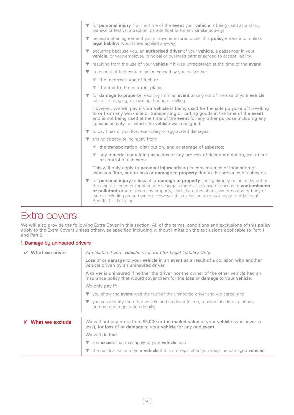- for **personal injury** if at the time of the **event** your **vehicle** is being used as a show, carnival or festival attraction, parade float or for any similar activity;
- ▼ because of an agreement you or anyone insured under this **policy** enters into, unless **legal liability** would have applied anyway;
- occurring because you, an **authorised driver** of your **vehicle**, a passenger in your **vehicle**, or your employer, principal or business partner agreed to accept liability;
- ▼ resulting from the use of your **vehicle** if it was unregistered at the time of the **event**.
- ▼ in respect of fuel contamination caused by you delivering:
	- ▼ the incorrect type of fuel; or
	- ▼ the fuel to the incorrect place;
- ▼ for **damage to property** resulting from an **event** arising out of the use of your **vehicle** while it is digging, excavating, boring or drilling.

However, we will pay if your **vehicle** is being used for the sole purpose of travelling to or from any work site or transporting or carting goods at the time of the **event** and is not being used at the time of the **event** for any other purpose including any specific activity for which the **vehicle** was designed.

- ▼ to pay fines or punitive, exemplary or aggravated damages;
- ▼ arising directly or indirectly from:
	- ▼ the transportation, distribution, and or storage of asbestos;
	- ▼ any material containing asbestos or any process of decontamination, treatment or control of asbestos;

This will only apply to **personal injury** arising in consequence of inhalation of asbestos fibre, and to **loss** or **damage to property** due to the presence of asbestos.

for **personal injury** or **loss** of or **damage to property** arising directly or indirectly out of the actual, alleged or threatened discharge, dispersal, release or escape of **contaminants or pollutants** into or upon any property, land, the atmosphere, water course or body of water (including ground water). However this exclusion does not apply to Additional Benefit 1 – 'Pollution'.

### Extra covers

We will also provide the following Extra Cover in this section. All of the terms, conditions and exclusions of this **policy** apply to the Extra Covers unless otherwise specified including without limitation the exclusions applicable to Part 1 and Part 2.

#### 1. Damage by uninsured drivers

| What we cover          | Applicable if your <b>vehicle</b> is insured for Legal Liability Only.                                                                                                                            |
|------------------------|---------------------------------------------------------------------------------------------------------------------------------------------------------------------------------------------------|
|                        | <b>Loss</b> of or <b>damage</b> to your <b>vehicle</b> in an <b>event</b> as a result of a collision with another<br>vehicle driven by an uninsured driver.                                       |
|                        | A driver is uninsured if neither the driver nor the owner of the other vehicle had an<br>insurance policy that would cover them for the <b>loss</b> or <b>damage</b> to your <b>vehicle</b> .     |
|                        | We only pay if:                                                                                                                                                                                   |
|                        | $\blacktriangledown$ you show the event was the fault of the uninsured driver and we agree; and                                                                                                   |
|                        | $\blacktriangledown$ you can identify the other vehicle and its driver (name, residential address, phone<br>number and registration details).                                                     |
| <b>What we exclude</b> | We will not pay more than \$5,000 or the <b>market value</b> of your <b>vehicle</b> (whichever is<br>less), for <b>loss</b> of or <b>damage</b> to your <b>vehicle</b> for any one <b>event</b> . |
|                        | We will deduct:                                                                                                                                                                                   |
|                        | ▼ any excess that may apply to your vehicle, and                                                                                                                                                  |
|                        | the residual value of your <b>vehicle</b> if it is not repairable (you keep the damaged <b>vehicle</b> ).                                                                                         |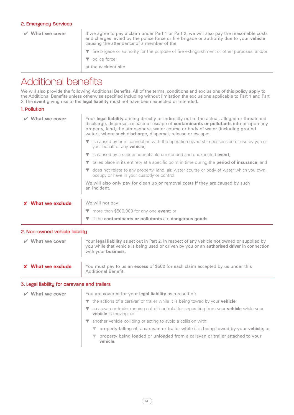#### 2. Emergency Services

✔ **What we cover** If we agree to pay a claim under Part 1 or Part 2, we will also pay the reasonable costs and charges levied by the police force or fire brigade or authority due to your **vehicle** causing the attendance of a member of the: ▼ fire brigade or authority for the purpose of fire extinguishment or other purposes; and/or ▼ police force; at the accident site.

### Additional benefits

We will also provide the following Additional Benefits. All of the terms, conditions and exclusions of this **policy** apply to the Additional Benefits unless otherwise specified including without limitation the exclusions applicable to Part 1 and Part 2. The **event** giving rise to the **legal liability** must not have been expected or intended.

#### 1. Pollution

| What we cover                  | Your legal liability arising directly or indirectly out of the actual, alleged or threatened<br>discharge, dispersal, release or escape of contaminants or pollutants into or upon any<br>property, land, the atmosphere, water course or body of water (including ground<br>water), where such discharge, dispersal, release or escape: |  |  |  |
|--------------------------------|------------------------------------------------------------------------------------------------------------------------------------------------------------------------------------------------------------------------------------------------------------------------------------------------------------------------------------------|--|--|--|
|                                | is caused by or in connection with the operation ownership possession or use by you or<br>your behalf of any <b>vehicle</b> ;                                                                                                                                                                                                            |  |  |  |
|                                | $\blacktriangledown$ is caused by a sudden identifiable unintended and unexpected <b>event</b> ;                                                                                                                                                                                                                                         |  |  |  |
|                                | <b>v</b> takes place in its entirety at a specific point in time during the <b>period of insurance</b> ; and                                                                                                                                                                                                                             |  |  |  |
|                                | does not relate to any property, land, air, water course or body of water which you own,<br>occupy or have in your custody or control.                                                                                                                                                                                                   |  |  |  |
|                                | We will also only pay for clean up or removal costs if they are caused by such<br>an incident.                                                                                                                                                                                                                                           |  |  |  |
| <b>X</b> What we exclude       | We will not pay:                                                                                                                                                                                                                                                                                                                         |  |  |  |
|                                | $\blacktriangledown$ more than \$500,000 for any one <b>event</b> ; or                                                                                                                                                                                                                                                                   |  |  |  |
|                                | $\blacktriangledown$ if the contaminants or pollutants are dangerous goods.                                                                                                                                                                                                                                                              |  |  |  |
| 2. Non-owned vehicle liability |                                                                                                                                                                                                                                                                                                                                          |  |  |  |
| $\vee$ What we cover           | Your legal liability as set out in Part 2, in respect of any vehicle not owned or supplied by<br>you while that vehicle is being used or driven by you or an <b>authorised driver</b> in connection                                                                                                                                      |  |  |  |

✘ **What we exclude** You must pay to us an **excess** of \$500 for each claim accepted by us under this Additional Benefit.

with your **business**.

#### 3. Legal liability for caravans and trailers

| What we cover | You are covered for your legal liability as a result of:                                                                         |
|---------------|----------------------------------------------------------------------------------------------------------------------------------|
|               | The actions of a caravan or trailer while it is being towed by your vehicle;                                                     |
|               | a caravan or trailer running out of control after separating from your <b>vehicle</b> while your<br><b>vehicle</b> is moving; or |
|               | another vehicle colliding or acting to avoid a collision with:                                                                   |
|               | property falling off a caravan or trailer while it is being towed by your <b>vehicle</b> ; or                                    |
|               | property being loaded or unloaded from a caravan or trailer attached to your<br>vehicle.                                         |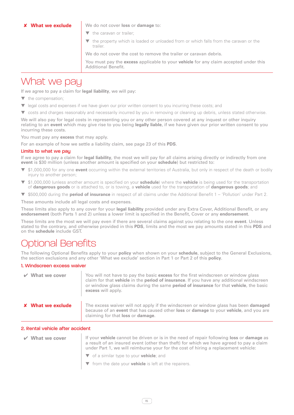✘ **What we exclude** We do not cover **loss** or **damage** to:

- ▼ the caravan or trailer;
- ▼ the property which is loaded or unloaded from or which falls from the caravan or the trailer.

We do not cover the cost to remove the trailer or caravan debris.

You must pay the **excess** applicable to your **vehicle** for any claim accepted under this Additional Benefit.

### What we pay

If we agree to pay a claim for **legal liability**, we will pay:

- ▼ the compensation;
- ▼ legal costs and expenses if we have given our prior written consent to you incurring these costs; and
- ▼ costs and charges reasonably and necessarily incurred by you in removing or cleaning up debris, unless stated otherwise.

We will also pay for legal costs in representing you or any other person covered at any inquest or other inquiry relating to an **event** which may give rise to you being **legally liable**, if we have given our prior written consent to you incurring these costs.

You must pay any **excess** that may apply.

For an example of how we settle a liability claim, see page 23 of this **PDS**.

#### Limits to what we pau

If we agree to pay a claim for **legal liability**, the most we will pay for all claims arising directly or indirectly from one **event** is \$30 million (unless another amount is specified on your **schedule**) but restricted to:

- \$1,000,000 for any one **event** occurring within the external territories of Australia, but only in respect of the death or bodily injury to another person;
- ▼ \$1,000,000 (unless another amount is specified on your **schedule**) where the **vehicle** is being used for the transportation of **dangerous goods** or is attached to, or is towing, a **vehicle** used for the transportation of **dangerous goods**; and
- ▼ \$500,000 during the **period of insurance** in respect of all claims under the Additional Benefit 1 'Pollution' under Part 2.

These amounts include all legal costs and expenses.

These limits also apply to any cover for your **legal liability** provided under any Extra Cover, Additional Benefit, or any **endorsement** (both Parts 1 and 2) unless a lower limit is specified in the Benefit, Cover or any **endorsement**.

These limits are the most we will pay even if there are several claims against you relating to the one **event**. Unless stated to the contrary, and otherwise provided in this **PDS**, limits and the most we pay amounts stated in this **PDS** and on the **schedule** include GST.

### tional Benefits

The following Optional Benefits apply to your **policy** when shown on your **schedule**, subject to the General Exclusions, the section exclusions and any other 'What we exclude' section in Part 1 or Part 2 of this **policy**.

#### 1. Windscreen excess waiver

| $\vee$ What we cover     | You will not have to pay the basic excess for the first windscreen or window glass<br>claim for that vehicle in the period of insurance. If you have any additional windscreen<br>or window glass claims during the same period of insurance for that vehicle, the basic<br>excess will apply. |
|--------------------------|------------------------------------------------------------------------------------------------------------------------------------------------------------------------------------------------------------------------------------------------------------------------------------------------|
| <b>X</b> What we exclude | The excess waiver will not apply if the windscreen or window glass has been damaged<br>because of an event that has caused other loss or damage to your vehicle, and you are<br>claiming for that <b>loss</b> or <b>damage</b> .                                                               |

#### 2. Rental vehicle after accident

| $\vee$ What we cover | If your vehicle cannot be driven or is in the need of repair following loss or damage as<br>a result of an insured event (other than theft) for which we have agreed to pay a claim<br>under Part 1, we will reimburse your for the cost of hiring a replacement vehicle: |
|----------------------|---------------------------------------------------------------------------------------------------------------------------------------------------------------------------------------------------------------------------------------------------------------------------|
|                      | $\blacktriangleright\blacktriangleright\blacktriangleright\blacktriangleright\blacktriangleright\blacktriangleleft\mathsf{f}$ a similar type to your <b>vehicle</b> ; and                                                                                                 |
|                      | $\blacktriangledown$ from the date your <b>vehicle</b> is left at the repairers.                                                                                                                                                                                          |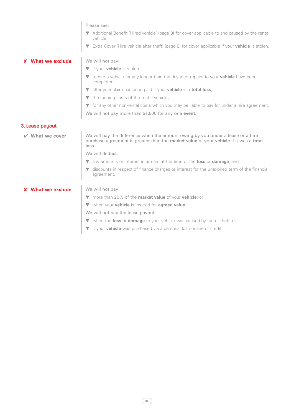|                 | Please see:                                                                                                                                                                       |  |  |  |
|-----------------|-----------------------------------------------------------------------------------------------------------------------------------------------------------------------------------|--|--|--|
|                 |                                                                                                                                                                                   |  |  |  |
|                 | Additional Benefit 'Hired Vehicle' (page 9) for cover applicable to and caused by the rental<br>vehicle                                                                           |  |  |  |
|                 | Extra Cover 'Hire vehicle after theft' (page 8) for cover applicable if your <b>vehicle</b> is stolen.                                                                            |  |  |  |
| What we exclude | We will not pay;                                                                                                                                                                  |  |  |  |
|                 | ▼ if your <b>vehicle</b> is stolen                                                                                                                                                |  |  |  |
|                 | to hire a vehicle for any longer than the day after repairs to your <b>vehicle</b> have been<br>completed;                                                                        |  |  |  |
|                 | v after your claim has been paid if your vehicle is a total loss;                                                                                                                 |  |  |  |
|                 | $\blacktriangledown$ the running costs of the rental vehicle;                                                                                                                     |  |  |  |
|                 | ▼ for any other non-rental costs which you may be liable to pay for under a hire agreement.                                                                                       |  |  |  |
|                 | We will not pay more than \$1,500 for any one event.                                                                                                                              |  |  |  |
|                 |                                                                                                                                                                                   |  |  |  |
| 3. Lease payout |                                                                                                                                                                                   |  |  |  |
| What we cover   | We will pay the difference when the amount owing by you under a lease or a hire<br>purchase agreement is greater than the market value of your vehicle if it was a total<br>loss. |  |  |  |
|                 | We will deduct:                                                                                                                                                                   |  |  |  |
|                 | any amounts or interest in arrears at the time of the loss or damage; and<br>V                                                                                                    |  |  |  |
|                 | discounts in respect of finance charges or interest for the unexpired term of the financial<br>v<br>agreement.                                                                    |  |  |  |
| What we exclude | We will not pay:                                                                                                                                                                  |  |  |  |
|                 | ▼ more than 20% of the <b>market value</b> of your <b>vehicle</b> ; or                                                                                                            |  |  |  |
|                 | ▼ when your vehicle is insured for agreed value.                                                                                                                                  |  |  |  |
|                 | We will not pay the lease payout:                                                                                                                                                 |  |  |  |
|                 | ▼ when the loss or damage to your vehicle was caused by fire or theft, or                                                                                                         |  |  |  |
|                 | vif your vehicle was purchased via a personal loan or line of credit.                                                                                                             |  |  |  |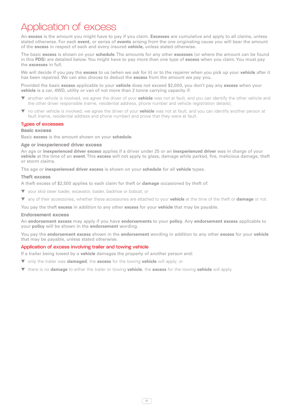## Application of excess

An **excess** is the amount you might have to pay if you claim. **Excesses** are cumulative and apply to all claims, unless stated otherwise. For each **event**, or series of **events** arising from the one originating cause you will bear the amount of the **excess** in respect of each and every insured **vehicle,** unless stated otherwise.

The basic **excess** is shown on your **schedule**. The amounts for any other **excesses** (or where the amount can be found in this **PDS**) are detailed below. You might have to pay more than one type of **excess** when you claim. You must pay the **excesses** in full.

We will decide if you pay the **excess** to us (when we ask for it) or to the repairer when you pick up your **vehicle** after it has been repaired. We can also choose to deduct the **excess** from the amount we pay you.

Provided the basic **excess** applicable to your **vehicle** does not exceed \$2,000, you don't pay any **excess** when your **vehicle** is a car, 4WD, utility or van of not more than 2 tonne carrying capacity if:

- another vehicle is involved, we agree the driver of your **vehicle** was not at fault, and you can identify the other vehicle and the other driver responsible (name, residential address, phone number and vehicle registration details);
- ▼ no other vehicle is involved, we agree the driver of your **vehicle** was not at fault, and you can identify another person at fault (name, residential address and phone number) and prove that they were at fault.

#### Types of excesses

#### **Basic excess**

Basic **excess** is the amount shown on your **schedule.**

#### **Age or inexperienced driver excess**

An age or **inexperienced driver excess** applies if a driver under 25 or an **inexperienced driver** was in charge of your **vehicle** at the time of an **event**. This **excess** will not apply to glass, damage while parked, fire, malicious damage, theft or storm claims.

The age or **inexperienced driver excess** is shown on your **schedule** for all **vehicle** types.

#### **Theft excess**

A theft excess of \$2,500 applies to each claim for theft or **damage** occasioned by theft of:

- ▼ your skid steer loader, excavator, loader, backhoe or bobcat; or
- ▼ any of their accessories, whether these accessories are attached to your **vehicle** at the time of the theft or **damage** or not.

You pay the theft **excess** in addition to any other **excess** for your **vehicle** that may be payable.

#### **Endorsement excess**

An **endorsement excess** may apply if you have **endorsements** to your **policy**. Any **endorsement excess** applicable to your **policy** will be shown in the **endorsement** wording.

You pay the **endorsement excess** shown in the **endorsement** wording in addition to any other **excess** for your **vehicle** that may be payable, unless stated otherwise.

#### Application of excess involving trailer and towing vehicle

If a trailer being towed by a **vehicle** damages the property of another person and:

- ▼ only the trailer was **damaged**, the **excess** for the towing **vehicle** will apply; or
- ▼ there is no **damage** to either the trailer or towing **vehicle**, the **excess** for the towing **vehicle** will apply.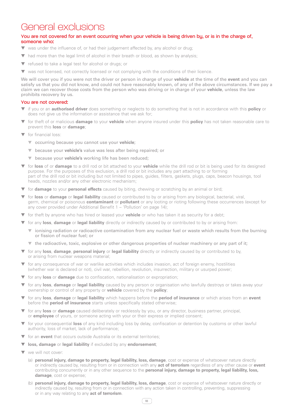### General exclusions

#### You are not covered for an event occurring when your vehicle is being driven by, or is in the charge of, someone who:

- ▼ was under the influence of, or had their judgement affected by, any alcohol or drug;
- ▼ had more than the legal limit of alcohol in their breath or blood, as shown by analysis;
- ▼ refused to take a legal test for alcohol or drugs; or
- ▼ was not licensed, not correctly licensed or not complying with the conditions of their licence.

We will cover you if you were not the driver or person in charge of your **vehicle** at the time of the **event** and you can satisfy us that you did not know, and could not have reasonably known, of any of the above circumstances. If we pay a claim we can recover those costs from the person who was driving or in charge of your **vehicle**, unless the law prohibits recovery by us.

#### You are not covered:

- ▼ if you or an **authorised driver** does something or neglects to do something that is not in accordance with this **policy** or does not give us the information or assistance that we ask for;
- ▼ for theft of or malicious **damage** to your **vehicle** when anyone insured under this **policy** has not taken reasonable care to prevent this **loss** or **damage**;
- ▼ for financial loss:
	- ▼ occurring because you cannot use your **vehicle**;
	- ▼ because your **vehicle's** value was less after being repaired; or
	- ▼ because your **vehicle's** working life has been reduced;
- ▼ for **loss** of or **damage** to a drill rod or bit attached to your **vehicle** while the drill rod or bit is being used for its designed purpose. For the purposes of this exclusion, a drill rod or bit includes any part attaching to or forming part of the drill rod or bit including but not limited to pipes, guides, filters, gaskets, plugs, caps, beacon housings, tool heads, nozzles and/or any other electronic mechanism;
- ▼ for **damage** to your **personal effects** caused by biting, chewing or scratching by an animal or bird;
- ▼ for **loss** or **damage** or **legal liability** caused or contributed to by or arising from any biological, bacterial, viral, germ, chemical or poisonous **contaminant** or **pollutant** or any looting or rioting following these occurrences (except for any cover provided under Additional Benefit  $1 - '$ Pollution' on page  $14$ );
- ▼ for theft by anyone who has hired or leased your **vehicle** or who has taken it as security for a debt;
- ▼ for any **loss**, **damage** or **legal liability** directly or indirectly caused by or contributed to by or arising from:
	- ▼ ionising radiation or radioactive contamination from any nuclear fuel or waste which results from the burning or fission of nuclear fuel; or
	- ▼ the radioactive, toxic, explosive or other dangerous properties of nuclear machinery or any part of it;
- ▼ for any **loss**, **damage**, **personal injury** or **legal liability** directly or indirectly caused by or contributed to by, or arising from nuclear weapons material;
- for any consequence of war or warlike activities which includes invasion, act of foreign enemy, hostilities (whether war is declared or not), civil war, rebellion, revolution, insurrection, military or usurped power;
- ▼ for any **loss** or **damage** due to confiscation, nationalisation or expropriation;
- ▼ for any **loss**, **damage** or **legal liability** caused by any person or organisation who lawfully destroys or takes away your ownership or control of any property or **vehicle** covered by the **policy**;
- ▼ for any **loss**, **damage** or **legal liability** which happens before the **period of insurance** or which arises from an **event** before the **period of insurance** starts unless specifically stated otherwise;
- ▼ for any **loss** or **damage** caused deliberately or recklessly by you, or any director, business partner, principal, or **employee** of yours, or someone acting with your or their express or implied consent;
- ▼ for your consequential **loss** of any kind including loss by delay, confiscation or detention by customs or other lawful authority, loss of market, lack of performance;
- for an **event** that occurs outside Australia or its external territories;
- **loss, damage** or **legal liability** if excluded by any **endorsement**;
- ▼ we will not cover:
	- (a) **personal injury, damage to property, legal liability, loss, damage**, cost or expense of whatsoever nature directly or indirectly caused by, resulting from or in connection with any **act of terrorism** regardless of any other cause or **event** contributing concurrently or in any other sequence to the **personal injury, damage to property, legal liability, loss, damage**, cost or expense;
	- (b) **personal injury, damage to property, legal liability, loss, damage**, cost or expense of whatsoever nature directly or indirectly caused by, resulting from or in connection with any action taken in controlling, preventing, suppressing or in any way relating to any **act of terrorism**.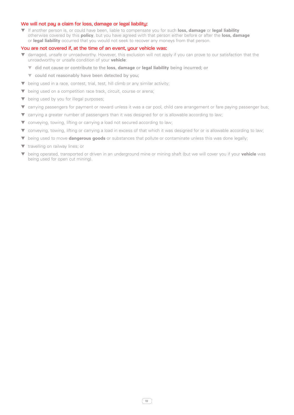#### We will not pay a claim for loss, damage or legal liability:

▼ If another person is, or could have been, liable to compensate you for such **loss, damage** or **legal liability**  otherwise covered by this **policy**, but you have agreed with that person either before or after the **loss, damage** or **legal liability** occurred that you would not seek to recover any moneys from that person.

#### You are not covered if, at the time of an event, your vehicle was:

- ▼ damaged, unsafe or unroadworthy. However, this exclusion will not apply if you can prove to our satisfaction that the unroadworthy or unsafe condition of your **vehicle**:
	- ▼ did not cause or contribute to the **loss**, **damage** or **legal liability** being incurred; or
		- ▼ could not reasonably have been detected by you;
- ▼ being used in a race, contest, trial, test, hill climb or any similar activity;
- ▼ being used on a competition race track, circuit, course or arena;
- ▼ being used by you for illegal purposes;
- ▼ carrying passengers for payment or reward unless it was a car pool, child care arrangement or fare paying passenger bus;
- ▼ carrying a greater number of passengers than it was designed for or is allowable according to law;
- ▼ conveying, towing, lifting or carrying a load not secured according to law;
- ▼ conveying, towing, lifting or carrying a load in excess of that which it was designed for or is allowable according to law;
- ▼ being used to move **dangerous goods** or substances that pollute or contaminate unless this was done legally;
- ▼ travelling on railway lines; or
- ▼ being operated, transported or driven in an underground mine or mining shaft (but we will cover you if your **vehicle** was being used for open cut mining).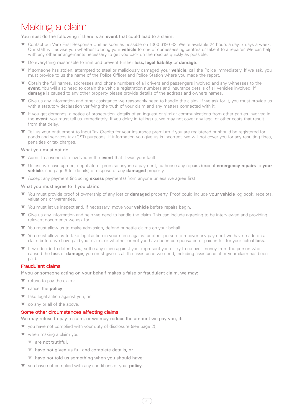## Making a claim

You must do the following if there is an **event** that could lead to a claim:

- Contact our Vero First Response Unit as soon as possible on 1300 619 033. We're available 24 hours a day, 7 days a week. Our staff will advise you whether to bring your **vehicle** to one of our assessing centres or take it to a repairer. We can help with any other arrangements necessary to get you back on the road as quickly as possible.
- ▼ Do everything reasonable to limit and prevent further **loss, legal liability** or **damage**.
- ▼ If someone has stolen, attempted to steal or maliciously damaged your **vehicle**, call the Police immediately. If we ask, you must provide to us the name of the Police Officer and Police Station where you made the report.
- Obtain the full names, addresses and phone numbers of all drivers and passengers involved and any witnesses to the **event**. You will also need to obtain the vehicle registration numbers and insurance details of all vehicles involved. If **damage** is caused to any other property please provide details of the address and owners names.
- ▼ Give us any information and other assistance we reasonably need to handle the claim. If we ask for it, you must provide us with a statutory declaration verifying the truth of your claim and any matters connected with it.
- ▼ If you get demands, a notice of prosecution, details of an inquest or similar communications from other parties involved in the **event**, you must tell us immediately. If you delay in telling us, we may not cover any legal or other costs that result from that delay.
- Tell us your entitlement to Input Tax Credits for your insurance premium if you are registered or should be registered for goods and services tax (GST) purposes. If information you give us is incorrect, we will not cover you for any resulting fines, penalties or tax charges.

What you must not do:

- ▼ Admit to anyone else involved in the **event** that it was your fault.
- ▼ Unless we have agreed, negotiate or promise anyone a payment, authorise any repairs (except **emergency repairs** to **your vehicle**, see page 6 for details) or dispose of any **damaged** property.
- ▼ Accept any payment (including **excess** payments) from anyone unless we agree first.

What you must agree to if you claim:

- ▼ You must provide proof of ownership of any lost or **damaged** property. Proof could include your **vehicle** log book, receipts, valuations or warranties.
- ▼ You must let us inspect and, if necessary, move your **vehicle** before repairs begin.
- ▼ Give us any information and help we need to handle the claim. This can include agreeing to be interviewed and providing relevant documents we ask for.
- ▼ You must allow us to make admission, defend or settle claims on your behalf.
- ▼ You must allow us to take legal action in your name against another person to recover any payment we have made on a claim before we have paid your claim, or whether or not you have been compensated or paid in full for your actual **loss**.
- If we decide to defend you, settle any claim against you, represent you or try to recover money from the person who caused the **loss** or **damage**, you must give us all the assistance we need, including assistance after your claim has been paid.

#### Fraudulent claims

If you or someone acting on your behalf makes a false or fraudulent claim, we may:

- $\blacktriangledown$  refuse to pay the claim;
- ▼ cancel the **policy**;
- ▼ take legal action against you; or
- ▼ do any or all of the above.

#### Some other circumstances affecting claims

We may refuse to pay a claim, or we may reduce the amount we pay you, if:

▼ you have not complied with your duty of disclosure (see page 2);

- ▼ when making a claim you:
	- ▼ are not truthful,
	- ▼ have not given us full and complete details, or
	- ▼ have not told us something when you should have;
- you have not complied with any conditions of your **policy**.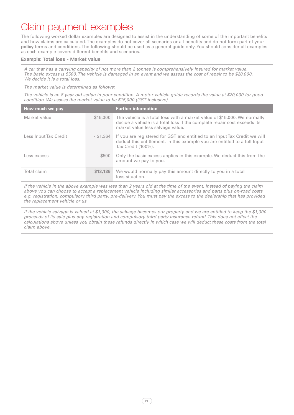### Claim payment examples

The following worked dollar examples are designed to assist in the understanding of some of the important benefits and how claims are calculated. The examples do not cover all scenarios or all benefits and do not form part of your **policy** terms and conditions. The following should be used as a general guide only. You should consider all examples as each example covers different benefits and scenarios.

#### **Example: Total loss - Market value**

*A car that has a carrying capacity of not more than 2 tonnes is comprehensively insured for market value. The basic excess is \$500. The vehicle is damaged in an event and we assess the cost of repair to be \$20,000. We decide it is a total loss.*

*The market value is determined as follows:*

*The vehicle is an 8 year old sedan in poor condition. A motor vehicle guide records the value at \$20,000 for good condition. We assess the market value to be \$15,000 (GST inclusive).*

| How much we pay       |             | <b>Further information</b>                                                                                                                                                               |
|-----------------------|-------------|------------------------------------------------------------------------------------------------------------------------------------------------------------------------------------------|
| Market value          | \$15,000    | The vehicle is a total loss with a market value of \$15,000. We normally<br>decide a vehicle is a total loss if the complete repair cost exceeds its<br>market value less salvage value. |
| Less Input Tax Credit | $-$ \$1,364 | If you are registered for GST and entitled to an Input Tax Credit we will<br>deduct this entitlement. In this example you are entitled to a full lnput<br>Tax Credit (100%).             |
| Less excess           | $-$ \$500   | Only the basic excess applies in this example. We deduct this from the<br>amount we pay to you.                                                                                          |
| Total claim           | \$13,136    | We would normally pay this amount directly to you in a total<br>loss situation.                                                                                                          |

*If the vehicle in the above example was less than 2 years old at the time of the event, instead of paying the claim above you can choose to accept a replacement vehicle including similar accessories and parts plus on-road costs e.g. registration, compulsory third party, pre-delivery. You must pay the excess to the dealership that has provided the replacement vehicle or us.*

*If the vehicle salvage is valued at \$1,000, the salvage becomes our property and we are entitled to keep the \$1,000 proceeds of its sale plus any registration and compulsory third party insurance refund. This does not affect the calculations above unless you obtain these refunds directly in which case we will deduct these costs from the total claim above.*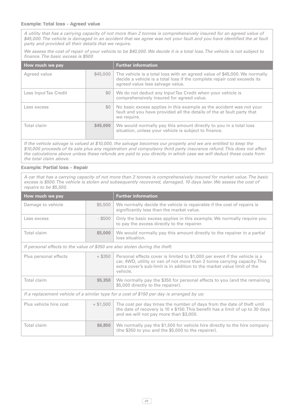#### **Example: Total loss - Agreed value**

*A utility that has a carrying capacity of not more than 2 tonnes is comprehensively insured for an agreed value of \$45,000. The vehicle is damaged in an accident that we agree was not your fault and you have identified the at fault party and provided all their details that we require.* 

*We assess the cost of repair of your vehicle to be \$40,000. We decide it is a total loss. The vehicle is not subject to finance. The basic excess is \$500*

| How much we pay       |          | <b>Further information</b>                                                                                                                                                                |
|-----------------------|----------|-------------------------------------------------------------------------------------------------------------------------------------------------------------------------------------------|
| Agreed value          | \$45,000 | The vehicle is a total loss with an agreed value of \$45,000. We normally<br>decide a vehicle is a total loss if the complete repair cost exceeds its<br>agreed value less salvage value. |
| Less Input Tax Credit | SO.      | We do not deduct any Input Tax Credit when your vehicle is<br>comprehensively insured for agreed value.                                                                                   |
| Less excess           | \$0      | No basic excess applies in this example as the accident was not your<br>fault and you have provided all the details of the at fault party that<br>we require.                             |
| Total claim           | \$45,000 | We would normally pay this amount directly to you in a total loss<br>situation, unless your vehicle is subject to finance.                                                                |
|                       |          |                                                                                                                                                                                           |

*If the vehicle salvage is valued at \$10,000, the salvage becomes our property and we are entitled to keep the \$10,000 proceeds of its sale plus any registration and compulsory third party insurance refund. This does not affect the calculations above unless these refunds are paid to you directly in which case we will deduct these costs from the total claim above.*

#### **Example: Partial loss - Repair**

*A car that has a carrying capacity of not more than 2 tonnes is comprehensively insured for market value. The basic excess is \$500. The vehicle is stolen and subsequently recovered, damaged, 10 days later. We assess the cost of repairs to be \$5,500.*

| How much we pay                                                                           |             | <b>Further information</b>                                                                                                                                                                                                                     |
|-------------------------------------------------------------------------------------------|-------------|------------------------------------------------------------------------------------------------------------------------------------------------------------------------------------------------------------------------------------------------|
| Damage to vehicle                                                                         | \$5,500     | We normally decide the vehicle is repairable if the cost of repairs is<br>significantly less than the market value.                                                                                                                            |
| Less excess                                                                               | $-$ \$500   | Only the basic excess applies in this example. We normally require you<br>to pay the excess directly to the repairer.                                                                                                                          |
| Total claim                                                                               | \$5,000     | We would normally pay this amount directly to the repairer in a partial<br>loss situation.                                                                                                                                                     |
| If personal effects to the value of \$350 are also stolen during the theft:               |             |                                                                                                                                                                                                                                                |
| Plus personal effects                                                                     | $+$ \$350   | Personal effects cover is limited to \$1,000 per event if the vehicle is a<br>car, 4WD, utility or van of not more than 2 tonne carrying capacity. This<br>extra cover's sub-limit is in addition to the market value limit of the<br>vehicle. |
| Total claim                                                                               | \$5,350     | We normally pay the \$350 for personal effects to you (and the remaining<br>\$5,000 directly to the repairer).                                                                                                                                 |
| If a replacement vehicle of a similar type for a cost of \$150 per day is arranged by us: |             |                                                                                                                                                                                                                                                |
| Plus vehicle hire cost                                                                    | $+$ \$1.500 | The cost per day times the number of days from the date of theft until<br>the date of recovery is 10 x \$150. This benefit has a limit of up to 30 days<br>and we will not pay more than \$3,000.                                              |
| Total claim                                                                               | \$6,850     | We normally pay the \$1,500 for vehicle hire directly to the hire company<br>(the \$350 to you and the \$5,000 to the repairer).                                                                                                               |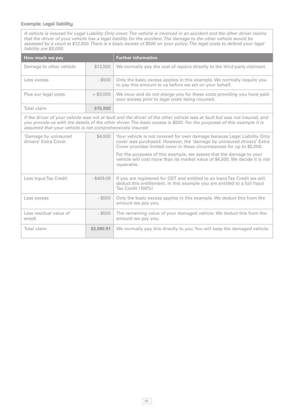#### **Example: Legal liability**

*A vehicle is insured for Legal Liability Only cover. The vehicle is involved in an accident and the other driver claims that the driver of your vehicle has a legal liability for the accident. The damage to the other vehicle would be assessed by a court at \$12,500. There is a basic excess of \$500 on your policy. The legal costs to defend your legal liability are \$3,000.*

| How much we pay                                                                                                                                                                                                                                                                                                 |              | <b>Further information</b>                                                                                                                                                                                                 |
|-----------------------------------------------------------------------------------------------------------------------------------------------------------------------------------------------------------------------------------------------------------------------------------------------------------------|--------------|----------------------------------------------------------------------------------------------------------------------------------------------------------------------------------------------------------------------------|
| Damage to other vehicle                                                                                                                                                                                                                                                                                         | \$12,500     | We normally pay the cost of repairs directly to the third-party claimant.                                                                                                                                                  |
| Less excess                                                                                                                                                                                                                                                                                                     | $-$ \$500    | Only the basic excess applies in this example. We normally require you<br>to pay this amount to us before we act on your behalf.                                                                                           |
| Plus our legal costs                                                                                                                                                                                                                                                                                            | $+$ \$3,000  | We incur and do not charge you for these costs providing you have paid<br>your excess prior to legal costs being incurred.                                                                                                 |
| Total claim                                                                                                                                                                                                                                                                                                     | \$15,000     |                                                                                                                                                                                                                            |
| If the driver of your vehicle was not at fault and the driver of the other vehicle was at fault but was not insured, and<br>you provide us with the details of the other driver. The basic excess is \$500. For the purposes of this example it is<br>assumed that your vehicle is not comprehensively insured: |              |                                                                                                                                                                                                                            |
| 'Damage by uninsured<br>drivers' Extra Cover                                                                                                                                                                                                                                                                    | \$4,500      | Your vehicle is not covered for own damage because Legal Liability Only<br>cover was purchased. However, the 'damage by uninsured drivers' Extra<br>Cover provides limited cover in these circumstances for up to \$5,000. |
|                                                                                                                                                                                                                                                                                                                 |              | For the purposes of this example, we assess that the damage to your<br>vehicle will cost more than its market value of \$4,500. We decide it is not<br>repairable.                                                         |
| Less Input Tax Credit                                                                                                                                                                                                                                                                                           | $-$ \$409.09 | If you are registered for GST and entitled to an Input Tax Credit we will<br>deduct this entitlement. In this example you are entitled to a full Input<br>Tax Credit (100%)                                                |
| Less excess                                                                                                                                                                                                                                                                                                     | $-$ \$500    | Only the basic excess applies in this example. We deduct this from the<br>amount we pay you.                                                                                                                               |
| Less residual value of<br>wreck                                                                                                                                                                                                                                                                                 | $-$ \$500    | The remaining value of your damaged vehicle. We deduct this from the<br>amount we pay you.                                                                                                                                 |
| Total claim                                                                                                                                                                                                                                                                                                     | \$3,090.91   | We normally pay this directly to you. You will keep the damaged vehicle.                                                                                                                                                   |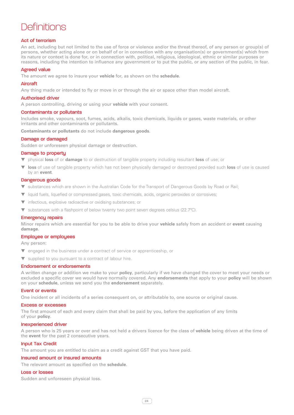## **Definitions**

#### Act of terrorism

An act, including but not limited to the use of force or violence and/or the threat thereof, of any person or group(s) of persons, whether acting alone or on behalf of or in connection with any organisation(s) or government(s) which from its nature or context is done for, or in connection with, political, religious, ideological, ethnic or similar purposes or reasons, including the intention to influence any government or to put the public, or any section of the public, in fear.

#### Agreed value

The amount we agree to insure your **vehicle** for, as shown on the **schedule**.

#### Aircraft

Any thing made or intended to fly or move in or through the air or space other than model aircraft.

#### Authorised driver

A person controlling, driving or using your **vehicle** with your consent.

#### Contaminants or pollutants

Includes smoke, vapours, soot, fumes, acids, alkalis, toxic chemicals, liquids or gases, waste materials, or other irritants and other contaminants or pollutants.

**Contaminants or pollutants** do not include **dangerous goods**.

#### Damage or damaged

Sudden or unforeseen physical damage or destruction.

#### Damage to property

- ▼ physical **loss** of or **damage** to or destruction of tangible property including resultant **loss** of use; or
- **loss** of use of tangible property which has not been physically damaged or destroyed provided such **loss** of use is caused by an **event**.

#### Dangerous goods

- substances which are shown in the Australian Code for the Transport of Dangerous Goods by Road or Rail:
- ▼ liquid fuels, liquefied or compressed gases, toxic chemicals, acids, organic peroxides or corrosives;
- ▼ infectious, explosive radioactive or oxidising substances; or
- ▼ substances with a flashpoint of below twenty two point seven degrees celsius (22.7ºC).

#### Emergency repairs

Minor repairs which are essential for you to be able to drive your **vehicle** safely from an accident or **event** causing **damage**.

#### Employee or employees

Any person:

- ▼ engaged in the business under a contract of service or apprenticeship, or
- ▼ supplied to you pursuant to a contract of labour hire.

#### Endorsement or endorsements

A written change or addition we make to your **policy**, particularly if we have changed the cover to meet your needs or excluded a specific cover we would have normally covered. Any **endorsements** that apply to your **policy** will be shown on your **schedule**, unless we send you the **endorsement** separately.

#### Event or events

One incident or all incidents of a series consequent on, or attributable to, one source or original cause.

#### Excess or excesses

The first amount of each and every claim that shall be paid by you, before the application of any limits of your **policy**.

#### Inexperienced driver

A person who is 25 years or over and has not held a drivers licence for the class of **vehicle** being driven at the time of the **event** for the past 2 consecutive years.

#### Input Tax Credit

The amount you are entitled to claim as a credit against GST that you have paid.

#### Insured amount or insured amounts

The relevant amount as specified on the **schedule**.

#### Loss or losses

Sudden and unforeseen physical loss.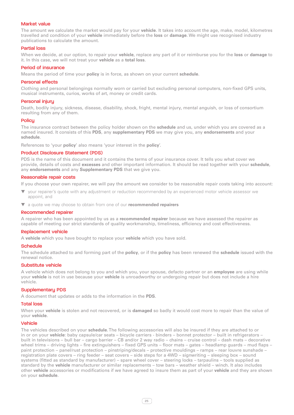#### Market value

The amount we calculate the market would pay for your **vehicle**. It takes into account the age, make, model, kilometres travelled and condition of your **vehicle** immediately before the **loss** or **damage**. We might use recognised industry publications to calculate the amount.

#### Partial loss

When we decide, at our option, to repair your **vehicle**, replace any part of it or reimburse you for the **loss** or **damage** to it. In this case, we will not treat your **vehicle** as a **total loss**.

#### Period of insurance

Means the period of time your **policy** is in force, as shown on your current **schedule**.

#### Personal effects

Clothing and personal belongings normally worn or carried but excluding personal computers, non-fixed GPS units, musical instruments, curios, works of art, money or credit cards.

#### Personal injury

Death, bodily injury, sickness, disease, disability, shock, fright, mental injury, mental anguish, or loss of consortium resulting from any of them.

#### Policu

The insurance contract between the policy holder shown on the **schedule** and us, under which you are covered as a named insured. It consists of this **PDS**, any **supplementary PDS** we may give you, any **endorsements** and your **schedule**.

References to 'your **policy**' also means 'your interest in the **policy**'.

#### Product Disclosure Statement (PDS)

PDS is the name of this document and it contains the terms of your insurance cover. It tells you what cover we provide, details of costs and **excesses** and other important information. It should be read together with your **schedule**, any **endorsements** and any **Supplementary PDS** that we give you.

#### Reasonable repair costs

If you choose your own repairer, we will pay the amount we consider to be reasonable repair costs taking into account:

- your repairer's quote with any adjustment or reduction recommended by an experienced motor vehicle assessor we appoint, and
- a quote we may choose to obtain from one of our **recommended repairers**

#### Recommended repairer

A repairer who has been appointed by us as a **recommended repairer** because we have assessed the repairer as capable of meeting our strict standards of quality workmanship, timeliness, efficiency and cost effectiveness.

#### Replacement vehicle

A **vehicle** which you have bought to replace your **vehicle** which you have sold.

#### **Schedule**

The schedule attached to and forming part of the **policy**, or if the **policy** has been renewed the **schedule** issued with the renewal notice.

#### Substitute vehicle

A vehicle which does not belong to you and which you, your spouse, defacto partner or an **employee** are using while your **vehicle** is not in use because your **vehicle** is unroadworthy or undergoing repair but does not include a hire vehicle.

#### Supplementary PDS

A document that updates or adds to the information in the **PDS**.

#### Total loss

When your **vehicle** is stolen and not recovered, or is **damaged** so badly it would cost more to repair than the value of your **vehicle**.

#### Vehicle

The vehicles described on your **schedule**. The following accessories will also be insured if they are attached to or in or on your **vehicle**: baby capsule/car seats – bicycle carriers - binders – bonnet protector – built in refrigerators – built in televisions – bull bar – cargo barrier – CB and/or 2 way radio – chains – cruise control – dash mats – decorative wheel trims – driving lights – fire extinguishers – fixed GPS units – floor mats – gates – headlamp guards – mud flaps – paint protection – panel/rust protection – pinstriping/decals – protective mouldings – ramps – rear louvre sunshade – registration plate covers – ring feeder – seat covers – side steps for a 4WD – signwriting – sleeping box – sound systems (fitted as standard by manufacturer) – spare wheel cover – steering locks – tarpaulins – tools supplied as standard by the **vehicle** manufacturer or similar replacements – tow bars – weather shield – winch. It also includes other **vehicle** accessories or modifications if we have agreed to insure them as part of your **vehicle** and they are shown on your **schedule**.